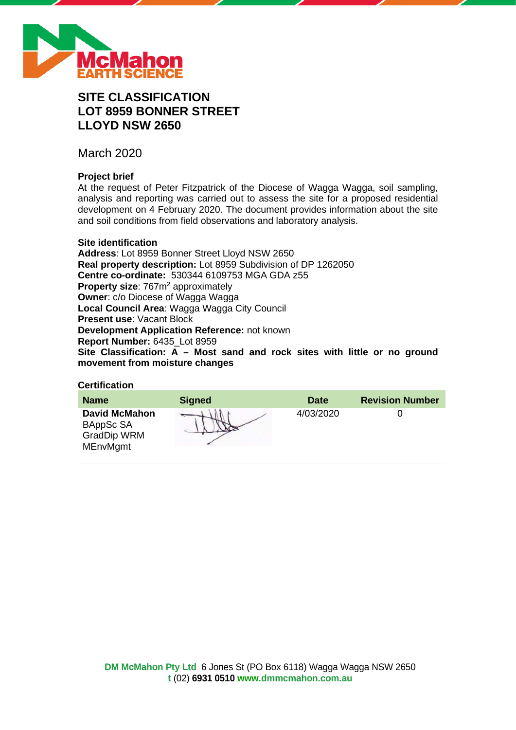

# **SITE CLASSIFICATION LOT 8959 BONNER STREET LLOYD NSW 2650**

March 2020

# **Project brief**

At the request of Peter Fitzpatrick of the Diocese of Wagga Wagga, soil sampling, analysis and reporting was carried out to assess the site for a proposed residential development on 4 February 2020. The document provides information about the site and soil conditions from field observations and laboratory analysis.

#### **Site identification**

**Address**: Lot 8959 Bonner Street Lloyd NSW 2650 **Real property description:** Lot 8959 Subdivision of DP 1262050 **Centre co-ordinate:** 530344 6109753 MGA GDA z55 **Property size: 767m<sup>2</sup> approximately Owner**: c/o Diocese of Wagga Wagga **Local Council Area**: Wagga Wagga City Council **Present use**: Vacant Block **Development Application Reference:** not known **Report Number:** 6435\_Lot 8959 **Site Classification: A – Most sand and rock sites with little or no ground movement from moisture changes**

#### **Certification**

| <b>Name</b>                                                                | <b>Signed</b> | <b>Date</b> | <b>Revision Number</b> |
|----------------------------------------------------------------------------|---------------|-------------|------------------------|
| <b>David McMahon</b><br>BAppSc SA<br><b>GradDip WRM</b><br><b>MEnvMgmt</b> |               | 4/03/2020   |                        |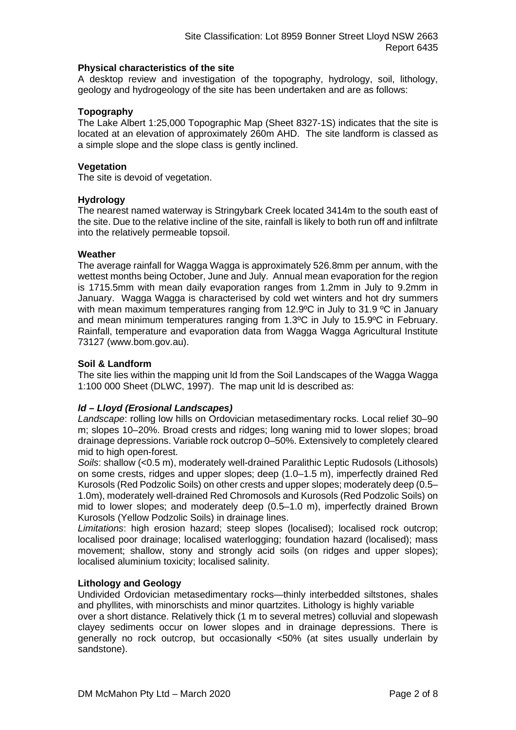#### **Physical characteristics of the site**

A desktop review and investigation of the topography, hydrology, soil, lithology, geology and hydrogeology of the site has been undertaken and are as follows:

#### **Topography**

The Lake Albert 1:25,000 Topographic Map (Sheet 8327-1S) indicates that the site is located at an elevation of approximately 260m AHD. The site landform is classed as a simple slope and the slope class is gently inclined.

#### **Vegetation**

The site is devoid of vegetation.

#### **Hydrology**

The nearest named waterway is Stringybark Creek located 3414m to the south east of the site. Due to the relative incline of the site, rainfall is likely to both run off and infiltrate into the relatively permeable topsoil.

#### **Weather**

The average rainfall for Wagga Wagga is approximately 526.8mm per annum, with the wettest months being October, June and July. Annual mean evaporation for the region is 1715.5mm with mean daily evaporation ranges from 1.2mm in July to 9.2mm in January. Wagga Wagga is characterised by cold wet winters and hot dry summers with mean maximum temperatures ranging from 12.9°C in July to 31.9 °C in January and mean minimum temperatures ranging from 1.3ºC in July to 15.9ºC in February. Rainfall, temperature and evaporation data from Wagga Wagga Agricultural Institute 73127 (www.bom.gov.au).

#### **Soil & Landform**

The site lies within the mapping unit ld from the Soil Landscapes of the Wagga Wagga 1:100 000 Sheet (DLWC, 1997). The map unit ld is described as:

## *ld – Lloyd (Erosional Landscapes)*

*Landscape*: rolling low hills on Ordovician metasedimentary rocks. Local relief 30–90 m; slopes 10–20%. Broad crests and ridges; long waning mid to lower slopes; broad drainage depressions. Variable rock outcrop 0–50%. Extensively to completely cleared mid to high open-forest.

*Soils*: shallow (<0.5 m), moderately well-drained Paralithic Leptic Rudosols (Lithosols) on some crests, ridges and upper slopes; deep (1.0–1.5 m), imperfectly drained Red Kurosols (Red Podzolic Soils) on other crests and upper slopes; moderately deep (0.5– 1.0m), moderately well-drained Red Chromosols and Kurosols (Red Podzolic Soils) on mid to lower slopes; and moderately deep (0.5–1.0 m), imperfectly drained Brown Kurosols (Yellow Podzolic Soils) in drainage lines.

*Limitations*: high erosion hazard; steep slopes (localised); localised rock outcrop; localised poor drainage; localised waterlogging; foundation hazard (localised); mass movement; shallow, stony and strongly acid soils (on ridges and upper slopes); localised aluminium toxicity; localised salinity.

#### **Lithology and Geology**

Undivided Ordovician metasedimentary rocks—thinly interbedded siltstones, shales and phyllites, with minorschists and minor quartzites. Lithology is highly variable

over a short distance. Relatively thick (1 m to several metres) colluvial and slopewash clayey sediments occur on lower slopes and in drainage depressions. There is generally no rock outcrop, but occasionally <50% (at sites usually underlain by sandstone).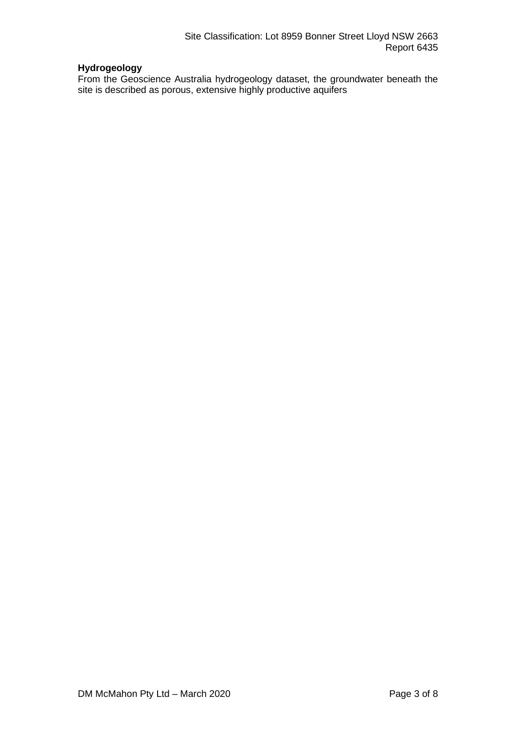# **Hydrogeology**

From the Geoscience Australia hydrogeology dataset, the groundwater beneath the site is described as porous, extensive highly productive aquifers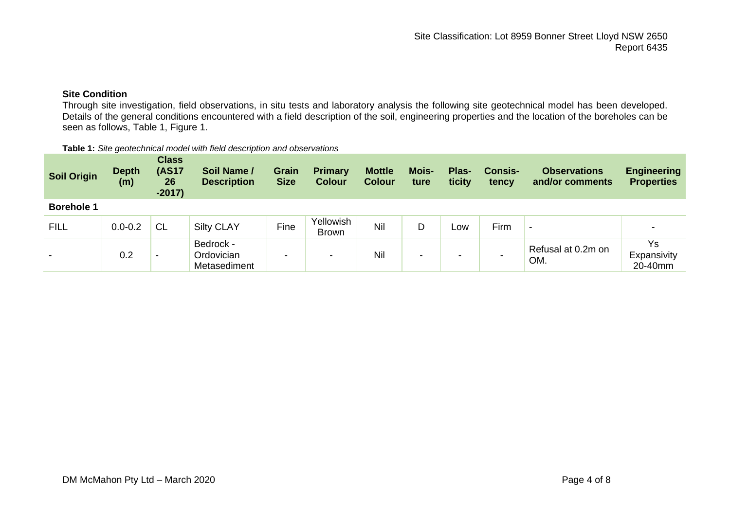# **Site Condition**

Through site investigation, field observations, in situ tests and laboratory analysis the following site geotechnical model has been developed. Details of the general conditions encountered with a field description of the soil, engineering properties and the location of the boreholes can be seen as follows, Table 1, Figure 1.

| Table 1: Site geotechnical model with field description and observations |  |
|--------------------------------------------------------------------------|--|
|--------------------------------------------------------------------------|--|

| <b>Soil Origin</b>       | <b>Depth</b><br>(m) | <b>Class</b><br><b>(AS17</b><br>26<br>$-2017)$ | Soil Name /<br><b>Description</b>       | <b>Grain</b><br><b>Size</b> | <b>Primary</b><br><b>Colour</b> | <b>Mottle</b><br><b>Colour</b> | Mois-<br>ture            | Plas-<br>ticity | <b>Consis-</b><br>tency | <b>Observations</b><br>and/or comments | <b>Engineering</b><br><b>Properties</b> |
|--------------------------|---------------------|------------------------------------------------|-----------------------------------------|-----------------------------|---------------------------------|--------------------------------|--------------------------|-----------------|-------------------------|----------------------------------------|-----------------------------------------|
| <b>Borehole 1</b>        |                     |                                                |                                         |                             |                                 |                                |                          |                 |                         |                                        |                                         |
| <b>FILL</b>              | $0.0 - 0.2$         | <b>CL</b>                                      | <b>Silty CLAY</b>                       | Fine                        | Yellowish<br>Brown              | Nil                            | D                        | LOW             | Firm                    | $\overline{\phantom{0}}$               | -                                       |
| $\overline{\phantom{0}}$ | 0.2                 | $\,$                                           | Bedrock -<br>Ordovician<br>Metasediment | -                           | -                               | Nil                            | $\overline{\phantom{0}}$ | -               |                         | Refusal at 0.2m on<br>OM.              | Ys<br>Expansivity<br>20-40mm            |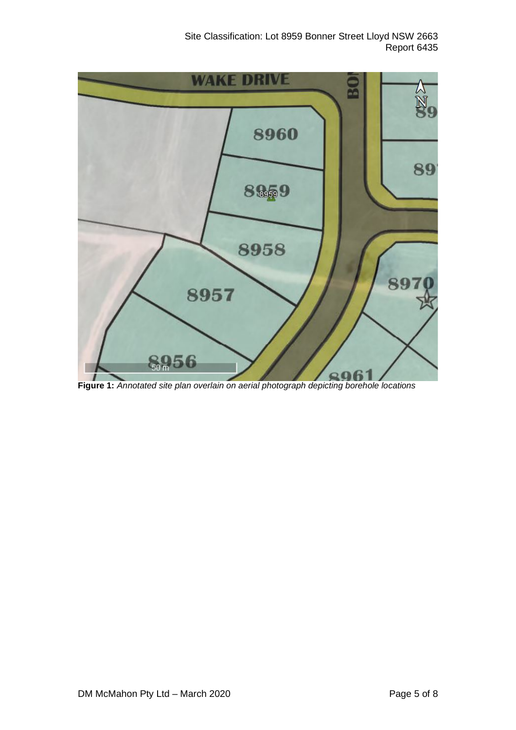Site Classification: Lot 8959 Bonner Street Lloyd NSW 2663 Report 6435



**Figure 1:** *Annotated site plan overlain on aerial photograph depicting borehole locations*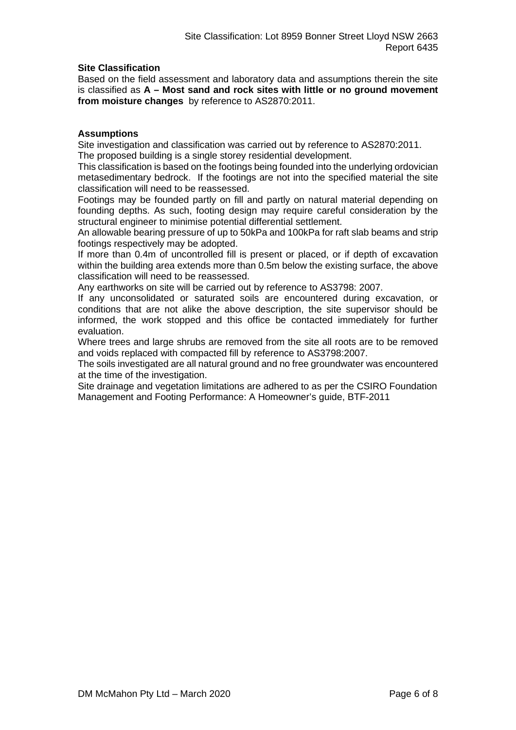#### **Site Classification**

Based on the field assessment and laboratory data and assumptions therein the site is classified as **A – Most sand and rock sites with little or no ground movement from moisture changes** by reference to AS2870:2011.

#### **Assumptions**

Site investigation and classification was carried out by reference to AS2870:2011. The proposed building is a single storey residential development.

This classification is based on the footings being founded into the underlying ordovician metasedimentary bedrock. If the footings are not into the specified material the site classification will need to be reassessed.

Footings may be founded partly on fill and partly on natural material depending on founding depths. As such, footing design may require careful consideration by the structural engineer to minimise potential differential settlement.

An allowable bearing pressure of up to 50kPa and 100kPa for raft slab beams and strip footings respectively may be adopted.

If more than 0.4m of uncontrolled fill is present or placed, or if depth of excavation within the building area extends more than 0.5m below the existing surface, the above classification will need to be reassessed.

Any earthworks on site will be carried out by reference to AS3798: 2007.

If any unconsolidated or saturated soils are encountered during excavation, or conditions that are not alike the above description, the site supervisor should be informed, the work stopped and this office be contacted immediately for further evaluation.

Where trees and large shrubs are removed from the site all roots are to be removed and voids replaced with compacted fill by reference to AS3798:2007.

The soils investigated are all natural ground and no free groundwater was encountered at the time of the investigation.

Site drainage and vegetation limitations are adhered to as per the CSIRO Foundation Management and Footing Performance: A Homeowner's guide, BTF-2011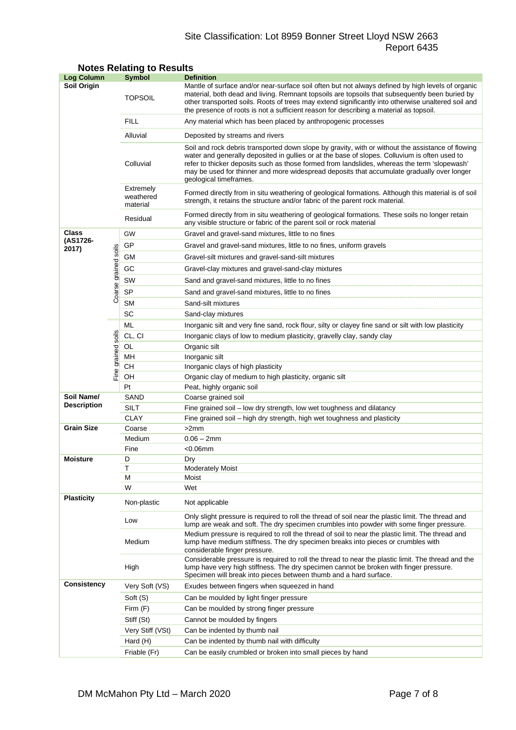## Site Classification: Lot 8959 Bonner Street Lloyd NSW 2663 Report 6435

| <b>Log Column</b>                |                      | <b>Symbol</b>                      | <b>Definition</b>                                                                                                                                                                                                                                                                                                                                                                                                          |  |  |  |  |  |
|----------------------------------|----------------------|------------------------------------|----------------------------------------------------------------------------------------------------------------------------------------------------------------------------------------------------------------------------------------------------------------------------------------------------------------------------------------------------------------------------------------------------------------------------|--|--|--|--|--|
| <b>Soil Origin</b>               |                      | <b>TOPSOIL</b>                     | Mantle of surface and/or near-surface soil often but not always defined by high levels of organic<br>material, both dead and living. Remnant topsoils are topsoils that subsequently been buried by<br>other transported soils. Roots of trees may extend significantly into otherwise unaltered soil and<br>the presence of roots is not a sufficient reason for describing a material as topsoil.                        |  |  |  |  |  |
|                                  |                      | <b>FILL</b>                        | Any material which has been placed by anthropogenic processes                                                                                                                                                                                                                                                                                                                                                              |  |  |  |  |  |
|                                  |                      | Alluvial                           | Deposited by streams and rivers                                                                                                                                                                                                                                                                                                                                                                                            |  |  |  |  |  |
|                                  |                      | Colluvial                          | Soil and rock debris transported down slope by gravity, with or without the assistance of flowing<br>water and generally deposited in gullies or at the base of slopes. Colluvium is often used to<br>refer to thicker deposits such as those formed from landslides, whereas the term 'slopewash'<br>may be used for thinner and more widespread deposits that accumulate gradually over longer<br>geological timeframes. |  |  |  |  |  |
|                                  |                      | Extremely<br>weathered<br>material | Formed directly from in situ weathering of geological formations. Although this material is of soil<br>strength, it retains the structure and/or fabric of the parent rock material.                                                                                                                                                                                                                                       |  |  |  |  |  |
|                                  |                      | Residual                           | Formed directly from in situ weathering of geological formations. These soils no longer retain<br>any visible structure or fabric of the parent soil or rock material                                                                                                                                                                                                                                                      |  |  |  |  |  |
| Class                            |                      | GW                                 | Gravel and gravel-sand mixtures, little to no fines                                                                                                                                                                                                                                                                                                                                                                        |  |  |  |  |  |
| (AS1726-                         |                      | GP                                 | Gravel and gravel-sand mixtures, little to no fines, uniform gravels                                                                                                                                                                                                                                                                                                                                                       |  |  |  |  |  |
| 2017)                            |                      | GМ                                 | Gravel-silt mixtures and gravel-sand-silt mixtures                                                                                                                                                                                                                                                                                                                                                                         |  |  |  |  |  |
|                                  |                      | GC                                 | Gravel-clay mixtures and gravel-sand-clay mixtures                                                                                                                                                                                                                                                                                                                                                                         |  |  |  |  |  |
|                                  |                      | SW                                 | Sand and gravel-sand mixtures, little to no fines                                                                                                                                                                                                                                                                                                                                                                          |  |  |  |  |  |
|                                  |                      | <b>SP</b>                          |                                                                                                                                                                                                                                                                                                                                                                                                                            |  |  |  |  |  |
|                                  | Coarse grained soils |                                    | Sand and gravel-sand mixtures, little to no fines                                                                                                                                                                                                                                                                                                                                                                          |  |  |  |  |  |
|                                  |                      | <b>SM</b><br>SC                    | Sand-silt mixtures                                                                                                                                                                                                                                                                                                                                                                                                         |  |  |  |  |  |
|                                  |                      | ML                                 | Sand-clay mixtures                                                                                                                                                                                                                                                                                                                                                                                                         |  |  |  |  |  |
|                                  |                      | CL, CI                             | Inorganic silt and very fine sand, rock flour, silty or clayey fine sand or silt with low plasticity                                                                                                                                                                                                                                                                                                                       |  |  |  |  |  |
|                                  | soils                |                                    | Inorganic clays of low to medium plasticity, gravelly clay, sandy clay                                                                                                                                                                                                                                                                                                                                                     |  |  |  |  |  |
|                                  |                      | OL<br>MН                           | Organic silt<br>Inorganic silt                                                                                                                                                                                                                                                                                                                                                                                             |  |  |  |  |  |
|                                  | Fine grained         | CН                                 | Inorganic clays of high plasticity                                                                                                                                                                                                                                                                                                                                                                                         |  |  |  |  |  |
|                                  |                      | OН                                 | Organic clay of medium to high plasticity, organic silt                                                                                                                                                                                                                                                                                                                                                                    |  |  |  |  |  |
|                                  |                      | Pt                                 | Peat, highly organic soil                                                                                                                                                                                                                                                                                                                                                                                                  |  |  |  |  |  |
| Soil Name/<br><b>Description</b> |                      | SAND                               | Coarse grained soil                                                                                                                                                                                                                                                                                                                                                                                                        |  |  |  |  |  |
|                                  |                      | SILT                               | Fine grained soil - low dry strength, low wet toughness and dilatancy                                                                                                                                                                                                                                                                                                                                                      |  |  |  |  |  |
|                                  |                      | <b>CLAY</b>                        | Fine grained soil – high dry strength, high wet toughness and plasticity                                                                                                                                                                                                                                                                                                                                                   |  |  |  |  |  |
| <b>Grain Size</b>                |                      | Coarse                             | >2mm                                                                                                                                                                                                                                                                                                                                                                                                                       |  |  |  |  |  |
|                                  |                      | Medium                             | $0.06 - 2mm$                                                                                                                                                                                                                                                                                                                                                                                                               |  |  |  |  |  |
|                                  |                      | Fine                               | $<$ 0.06 $mm$                                                                                                                                                                                                                                                                                                                                                                                                              |  |  |  |  |  |
| <b>Moisture</b>                  |                      | D                                  | Dry                                                                                                                                                                                                                                                                                                                                                                                                                        |  |  |  |  |  |
|                                  |                      | Т<br>М                             | <b>Moderately Moist</b><br>Moist                                                                                                                                                                                                                                                                                                                                                                                           |  |  |  |  |  |
|                                  |                      | W                                  | Wet                                                                                                                                                                                                                                                                                                                                                                                                                        |  |  |  |  |  |
| <b>Plasticity</b>                |                      | Non-plastic                        | Not applicable                                                                                                                                                                                                                                                                                                                                                                                                             |  |  |  |  |  |
|                                  |                      | Low                                | Only slight pressure is required to roll the thread of soil near the plastic limit. The thread and<br>lump are weak and soft. The dry specimen crumbles into powder with some finger pressure.                                                                                                                                                                                                                             |  |  |  |  |  |
|                                  |                      | Medium                             | Medium pressure is required to roll the thread of soil to near the plastic limit. The thread and<br>lump have medium stiffness. The dry specimen breaks into pieces or crumbles with<br>considerable finger pressure.                                                                                                                                                                                                      |  |  |  |  |  |
|                                  |                      | High                               | Considerable pressure is required to roll the thread to near the plastic limit. The thread and the<br>lump have very high stiffness. The dry specimen cannot be broken with finger pressure.<br>Specimen will break into pieces between thumb and a hard surface.                                                                                                                                                          |  |  |  |  |  |
| <b>Consistency</b>               |                      | Very Soft (VS)                     | Exudes between fingers when squeezed in hand                                                                                                                                                                                                                                                                                                                                                                               |  |  |  |  |  |
|                                  |                      | Soft (S)                           | Can be moulded by light finger pressure                                                                                                                                                                                                                                                                                                                                                                                    |  |  |  |  |  |
|                                  |                      | Firm (F)                           | Can be moulded by strong finger pressure                                                                                                                                                                                                                                                                                                                                                                                   |  |  |  |  |  |
|                                  |                      | Stiff (St)                         | Cannot be moulded by fingers                                                                                                                                                                                                                                                                                                                                                                                               |  |  |  |  |  |
|                                  |                      | Very Stiff (VSt)                   | Can be indented by thumb nail                                                                                                                                                                                                                                                                                                                                                                                              |  |  |  |  |  |
|                                  |                      | Hard (H)                           | Can be indented by thumb nail with difficulty                                                                                                                                                                                                                                                                                                                                                                              |  |  |  |  |  |
|                                  |                      | Friable (Fr)                       | Can be easily crumbled or broken into small pieces by hand                                                                                                                                                                                                                                                                                                                                                                 |  |  |  |  |  |

# **Notes Relating to Results**